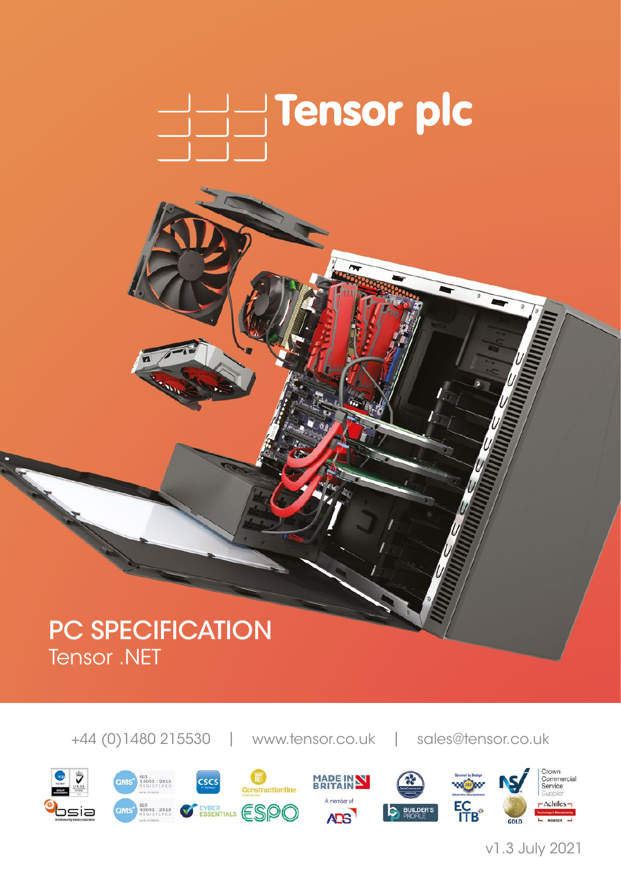

# PC SPECIFICATION Tensor .NET

+44 (0)1480 215530 | www.tensor.co.uk | sales@tensor.co.uk



v1.3 July 2021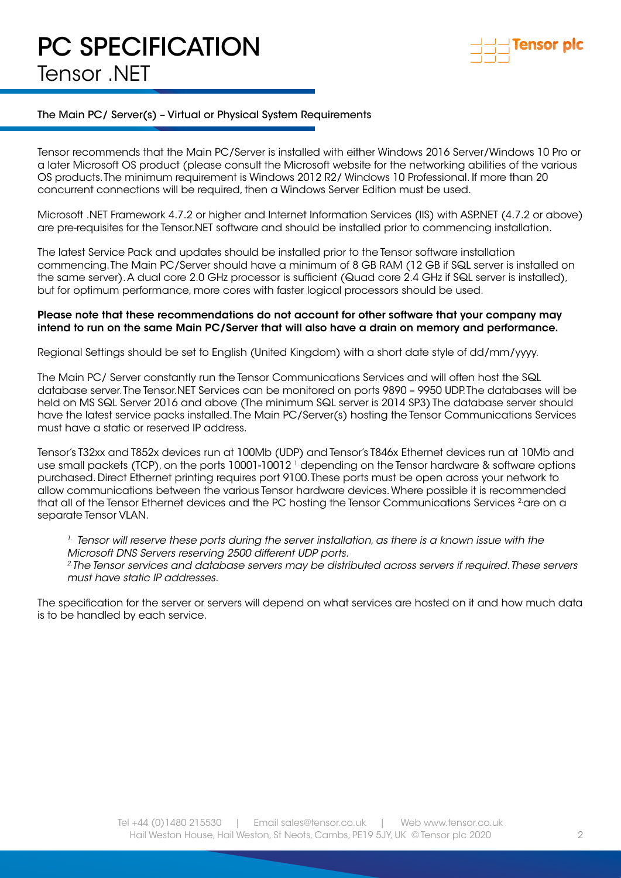# PC SPECIFICATION Tensor .NET



### The Main PC/ Server(s) – Virtual or Physical System Requirements

Tensor recommends that the Main PC/Server is installed with either Windows 2016 Server/Windows 10 Pro or a later Microsoft OS product (please consult the Microsoft website for the networking abilities of the various OS products. The minimum requirement is Windows 2012 R2/ Windows 10 Professional. If more than 20 concurrent connections will be required, then a Windows Server Edition must be used.

Microsoft .NET Framework 4.7.2 or higher and Internet Information Services (IIS) with ASP.NET (4.7.2 or above) are pre-requisites for the Tensor.NET software and should be installed prior to commencing installation.

The latest Service Pack and updates should be installed prior to the Tensor software installation commencing. The Main PC/Server should have a minimum of 8 GB RAM (12 GB if SQL server is installed on the same server). A dual core 2.0 GHz processor is sufficient (Quad core 2.4 GHz if SQL server is installed), but for optimum performance, more cores with faster logical processors should be used.

#### Please note that these recommendations do not account for other software that your company may intend to run on the same Main PC/Server that will also have a drain on memory and performance.

Regional Settings should be set to English (United Kingdom) with a short date style of dd/mm/yyyy.

The Main PC/ Server constantly run the Tensor Communications Services and will often host the SQL database server. The Tensor.NET Services can be monitored on ports 9890 – 9950 UDP. The databases will be held on MS SQL Server 2016 and above (The minimum SQL server is 2014 SP3) The database server should have the latest service packs installed. The Main PC/Server(s) hosting the Tensor Communications Services must have a static or reserved IP address.

Tensor's T32xx and T852x devices run at 100Mb (UDP) and Tensor's T846x Ethernet devices run at 10Mb and use small packets (TCP), on the ports 10001-10012 <sup>1.</sup> depending on the Tensor hardware & software options purchased. Direct Ethernet printing requires port 9100. These ports must be open across your network to allow communications between the various Tensor hardware devices. Where possible it is recommended that all of the Tensor Ethernet devices and the PC hosting the Tensor Communications Services <sup>2</sup>are on a separate Tensor VLAN.

*1. Tensor will reserve these ports during the server installation, as there is a known issue with the Microsoft DNS Servers reserving 2500 different UDP ports.*

*2.The Tensor services and database servers may be distributed across servers if required. These servers must have static IP addresses.* 

The specification for the server or servers will depend on what services are hosted on it and how much data is to be handled by each service.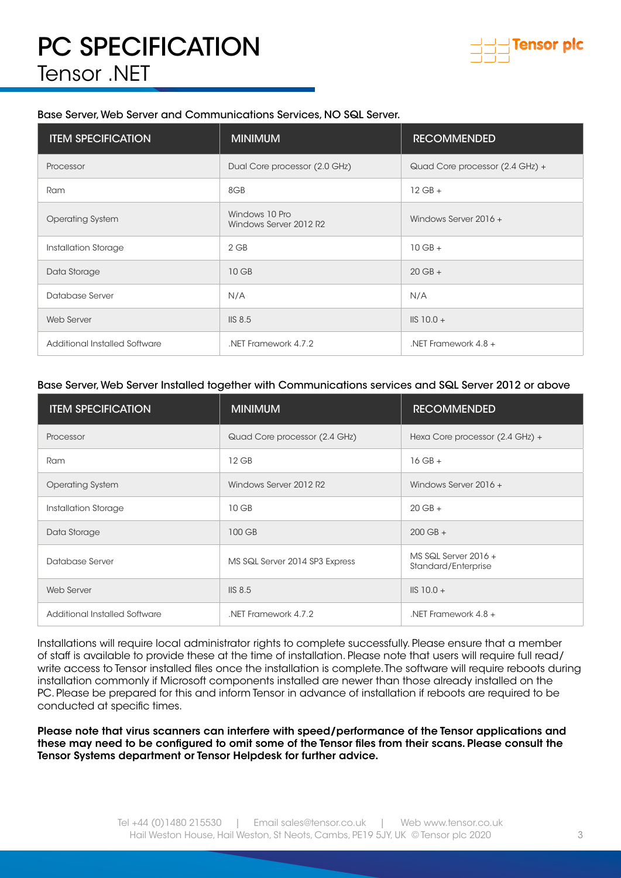

### Base Server, Web Server and Communications Services, NO SQL Server.

| <b>ITEM SPECIFICATION</b>     | <b>MINIMUM</b>                           | <b>RECOMMENDED</b>              |
|-------------------------------|------------------------------------------|---------------------------------|
| Processor                     | Dual Core processor (2.0 GHz)            | Quad Core processor (2.4 GHz) + |
| Ram                           | 8GB                                      | $12$ GB $+$                     |
| <b>Operating System</b>       | Windows 10 Pro<br>Windows Server 2012 R2 | Windows Server 2016 +           |
| Installation Storage          | $2$ GB                                   | $10$ GB $+$                     |
| Data Storage                  | 10 GB                                    | $20$ GB +                       |
| Database Server               | N/A                                      | N/A                             |
| Web Server                    | IIS 8.5                                  | $IIS$ 10.0 +                    |
| Additional Installed Software | .NET Framework 4.7.2                     | .NET Framework $4.8 +$          |

### Base Server, Web Server Installed together with Communications services and SQL Server 2012 or above

| <b>ITEM SPECIFICATION</b>     | <b>MINIMUM</b>                 | <b>RECOMMENDED</b>                            |
|-------------------------------|--------------------------------|-----------------------------------------------|
| Processor                     | Quad Core processor (2.4 GHz)  | Hexa Core processor (2.4 GHz) +               |
| Ram                           | 12 GB                          | $16$ GB +                                     |
| <b>Operating System</b>       | Windows Server 2012 R2         | Windows Server 2016 +                         |
| Installation Storage          | 10 GB                          | $20$ GB +                                     |
| Data Storage                  | 100 GB                         | $200$ GB $+$                                  |
| Database Server               | MS SQL Server 2014 SP3 Express | MS SQL Server $2016 +$<br>Standard/Enterprise |
| Web Server                    | IIS 8.5                        | $\text{IIS} 10.0 +$                           |
| Additional Installed Software | .NET Framework 4.7.2           | NFT Framework $4.8 +$                         |

Installations will require local administrator rights to complete successfully. Please ensure that a member of staff is available to provide these at the time of installation. Please note that users will require full read/ write access to Tensor installed files once the installation is complete. The software will require reboots during installation commonly if Microsoft components installed are newer than those already installed on the PC. Please be prepared for this and inform Tensor in advance of installation if reboots are required to be conducted at specific times.

Please note that virus scanners can interfere with speed/performance of the Tensor applications and these may need to be configured to omit some of the Tensor files from their scans. Please consult the Tensor Systems department or Tensor Helpdesk for further advice.